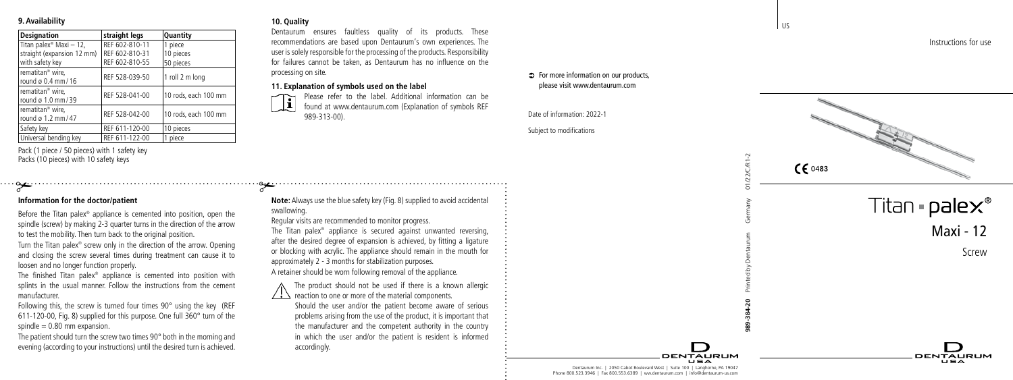## **9. Availability**

| <b>Designation</b>                  | straight legs  | Quantity             |
|-------------------------------------|----------------|----------------------|
| Titan palex <sup>®</sup> Maxi - 12, | RFF 602-810-11 | 1 piece              |
| straight (expansion 12 mm)          | REF 602-810-31 | 10 pieces            |
| with safety key                     | REF 602-810-55 | 50 pieces            |
| rematitan <sup>®</sup> wire.        | REF 528-039-50 | 1 roll 2 m long      |
| round ø 0.4 mm / 16                 |                |                      |
| rematitan <sup>®</sup> wire.        | REF 528-041-00 | 10 rods, each 100 mm |
| round ø 1.0 mm / 39                 |                |                      |
| rematitan <sup>®</sup> wire.        | REF 528-042-00 | 10 rods. each 100 mm |
| round ø 1.2 mm/47                   |                |                      |
| Safety key                          | REF 611-120-00 | 10 pieces            |
| Universal bending key               | REF 611-122-00 | piece                |

Pack (1 piece / 50 pieces) with 1 safety key Packs (10 pieces) with 10 safety keys

## **Information for the doctor/patient**

Before the Titan palex ® appliance is cemented into position, open the spindle (screw) by making 2-3 quarter turns in the direction of the arrow to test the mobility. Then turn back to the original position. **Exercise 10**<br> **Constrained the doctor/patient**<br>
Before the Titan palex® appliance is cemented into position, open the<br>
spindle (screw) by making 2-3 quarter turns in the direction of the arrow<br>
to test the mobility. Then

Turn the Titan palex ® screw only in the direction of the arrow. Opening and closing the screw several times during treatment can cause it to loosen and no longer function properly.

The finished Titan palex ® appliance is cemented into position with splints in the usual manner. Follow the instructions from the cement manufacturer.

Following this, the screw is turned four times 90° using the key (REF 611-120-00, Fig. 8) supplied for this purpose. One full 360° turn of the spindle  $= 0.80$  mm expansion.

The patient should turn the screw two times 90° both in the morning and

## **10. Quality**

Dentaurum ensures faultless quality of its products. These recommendations are based upon Dentaurum's own experiences. The user is solely responsible for the processing of the products. Responsibility for failures cannot be taken, as Dentaurum has no influence on the processing on site.

### **11. Explanation of symbols used on the label**

#

 Please refer to the label. Additional information can be found at www.dentaurum.com (Explanation of symbols REF 989-313-00).

**Note:** Always use the blue safety key (Fig. 8) supplied to avoid accidental swallowing.

Regular visits are recommended to monitor progress. The Titan palex ® appliance is secured against unwanted reversing, after the desired degree of expansion is achieved, by fitting a ligature or blocking with acrylic. The appliance should remain in the mouth for approximately 2 - 3 months for stabilization purposes. A retainer should be worn following removal of the appliance.

The product should not be used if there is a known allergic reaction to one or more of the material components.

 Should the user and/or the patient become aware of serious problems arising from the use of the product, it is important that the manufacturer and the competent authority in the country in which the user and/or the patient is resident is informed accordingly.

#### Â For more information on our products, please visit www.dentaurum.com

Date of information: 2022-1

Subject to modifications

Instructions for use

DENTALIBLIM

 $C\epsilon$  0483 Titan =  $\mathsf{p}\mathsf{a}\mathsf{lex}^\circ$ Maxi - 12 Screw

Dentaurum Inc. | 2050 Cabot Boulevard West | Suite 100 | Langhorne, PA 19047 Phone 800.523.3946 | Fax 800.553.6389 | ww.dentaurum.com | info@dentaurum-us.com

DENTALIBLIM

**989-384-20** Printed by Dentaurum Germany 01/22/C/R1-2

l us